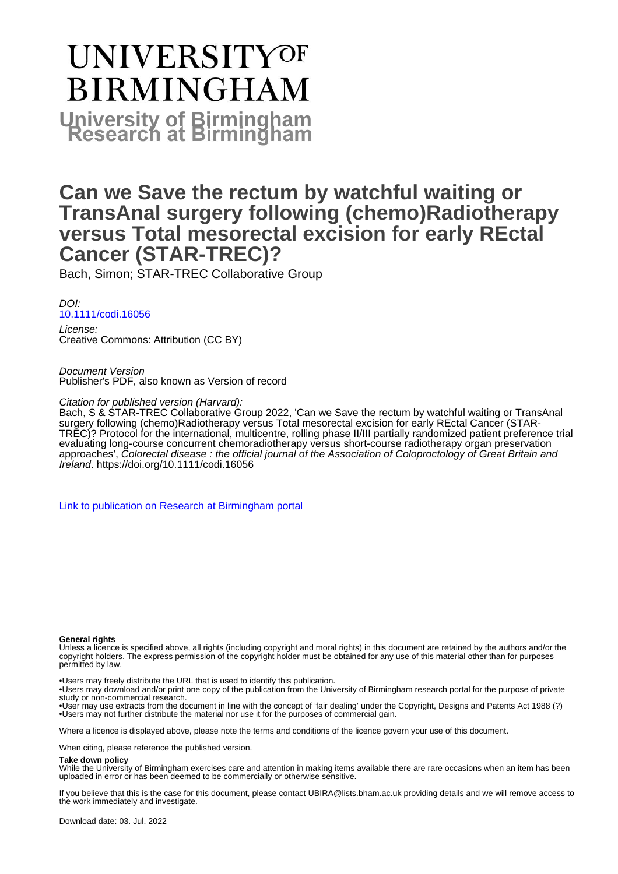# **UNIVERSITYOF BIRMINGHAM University of Birmingham**

# **Can we Save the rectum by watchful waiting or TransAnal surgery following (chemo)Radiotherapy versus Total mesorectal excision for early REctal Cancer (STAR-TREC)?**

Bach, Simon; STAR-TREC Collaborative Group

DOI: [10.1111/codi.16056](https://doi.org/10.1111/codi.16056)

License: Creative Commons: Attribution (CC BY)

Document Version Publisher's PDF, also known as Version of record

Citation for published version (Harvard):

Bach, S & STAR-TREC Collaborative Group 2022, 'Can we Save the rectum by watchful waiting or TransAnal surgery following (chemo)Radiotherapy versus Total mesorectal excision for early REctal Cancer (STAR-TREC)? Protocol for the international, multicentre, rolling phase II/III partially randomized patient preference trial evaluating long-course concurrent chemoradiotherapy versus short-course radiotherapy organ preservation approaches', Colorectal disease : the official journal of the Association of Coloproctology of Great Britain and Ireland.<https://doi.org/10.1111/codi.16056>

[Link to publication on Research at Birmingham portal](https://birmingham.elsevierpure.com/en/publications/52a0e1df-c47b-4bfe-8f55-cbd97b4932b9)

#### **General rights**

Unless a licence is specified above, all rights (including copyright and moral rights) in this document are retained by the authors and/or the copyright holders. The express permission of the copyright holder must be obtained for any use of this material other than for purposes permitted by law.

• Users may freely distribute the URL that is used to identify this publication.

• Users may download and/or print one copy of the publication from the University of Birmingham research portal for the purpose of private study or non-commercial research.

• User may use extracts from the document in line with the concept of 'fair dealing' under the Copyright, Designs and Patents Act 1988 (?) • Users may not further distribute the material nor use it for the purposes of commercial gain.

Where a licence is displayed above, please note the terms and conditions of the licence govern your use of this document.

When citing, please reference the published version.

#### **Take down policy**

While the University of Birmingham exercises care and attention in making items available there are rare occasions when an item has been uploaded in error or has been deemed to be commercially or otherwise sensitive.

If you believe that this is the case for this document, please contact UBIRA@lists.bham.ac.uk providing details and we will remove access to the work immediately and investigate.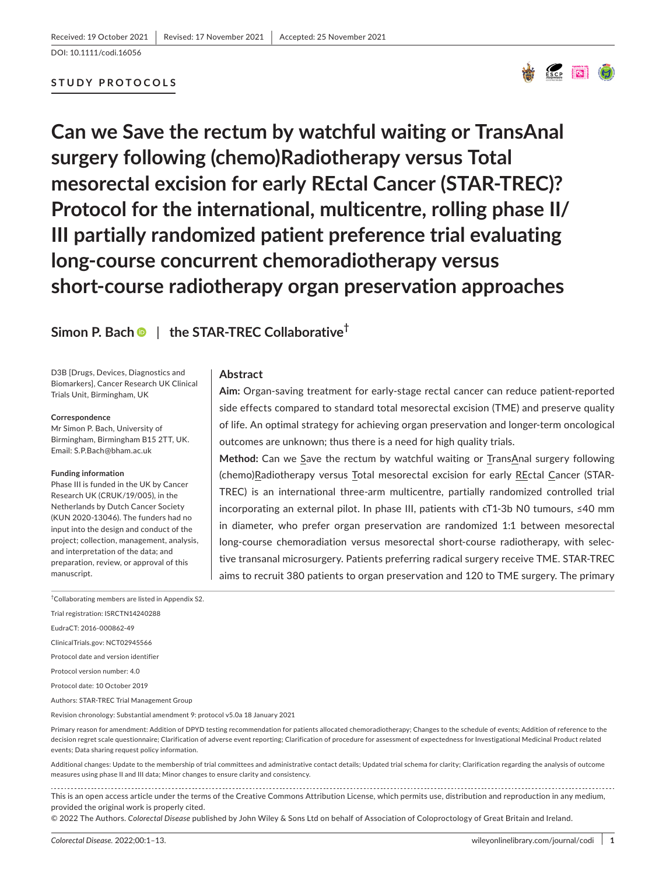DOI: 10.1111/codi.16056

# **STUDY PROTOCOLS**



**Can we Save the rectum by watchful waiting or TransAnal surgery following (chemo)Radiotherapy versus Total mesorectal excision for early REctal Cancer (STAR-TREC)? Protocol for the international, multicentre, rolling phase II/ III partially randomized patient preference trial evaluating long-course concurrent chemoradiotherapy versus short-course radiotherapy organ preservation approaches**

# **Simon P. Bac[h](https://orcid.org/0000-0001-8412-7241)** | **the STAR-TREC Collaborative†**

D3B [Drugs, Devices, Diagnostics and Biomarkers], Cancer Research UK Clinical Trials Unit, Birmingham, UK

#### **Correspondence**

Mr Simon P. Bach, University of Birmingham, Birmingham B15 2TT, UK. Email: [S.P.Bach@bham.ac.uk](mailto:S.P.Bach@bham.ac.uk)

#### **Funding information**

Phase III is funded in the UK by Cancer Research UK (CRUK/19/005), in the Netherlands by Dutch Cancer Society (KUN 2020-13046). The funders had no input into the design and conduct of the project; collection, management, analysis, and interpretation of the data; and preparation, review, or approval of this manuscript.

# **Abstract**

**Aim:** Organ-saving treatment for early-stage rectal cancer can reduce patient-reported side effects compared to standard total mesorectal excision (TME) and preserve quality of life. An optimal strategy for achieving organ preservation and longer-term oncological outcomes are unknown; thus there is a need for high quality trials.

**Method:** Can we Save the rectum by watchful waiting or TransAnal surgery following (chemo)Radiotherapy versus Total mesorectal excision for early REctal Cancer (STAR-TREC) is an international three-arm multicentre, partially randomized controlled trial incorporating an external pilot. In phase III, patients with cT1-3b N0 tumours, ≤40 mm in diameter, who prefer organ preservation are randomized 1:1 between mesorectal long-course chemoradiation versus mesorectal short-course radiotherapy, with selective transanal microsurgery. Patients preferring radical surgery receive TME. STAR-TREC aims to recruit 380 patients to organ preservation and 120 to TME surgery. The primary

† Collaborating members are listed in Appendix S2.

Trial registration: ISRCTN14240288

EudraCT: 2016-000862-49

ClinicalTrials.gov: NCT02945566

Protocol date and version identifier

Protocol version number: 4.0

Protocol date: 10 October 2019

Authors: STAR-TREC Trial Management Group

Revision chronology: Substantial amendment 9: protocol v5.0a 18 January 2021

Primary reason for amendment: Addition of DPYD testing recommendation for patients allocated chemoradiotherapy; Changes to the schedule of events; Addition of reference to the decision regret scale questionnaire; Clarification of adverse event reporting; Clarification of procedure for assessment of expectedness for Investigational Medicinal Product related events; Data sharing request policy information.

Additional changes: Update to the membership of trial committees and administrative contact details; Updated trial schema for clarity; Clarification regarding the analysis of outcome measures using phase II and III data; Minor changes to ensure clarity and consistency.

This is an open access article under the terms of the [Creative Commons Attribution](http://creativecommons.org/licenses/by/4.0/) License, which permits use, distribution and reproduction in any medium, provided the original work is properly cited.

© 2022 The Authors. *Colorectal Disease* published by John Wiley & Sons Ltd on behalf of Association of Coloproctology of Great Britain and Ireland.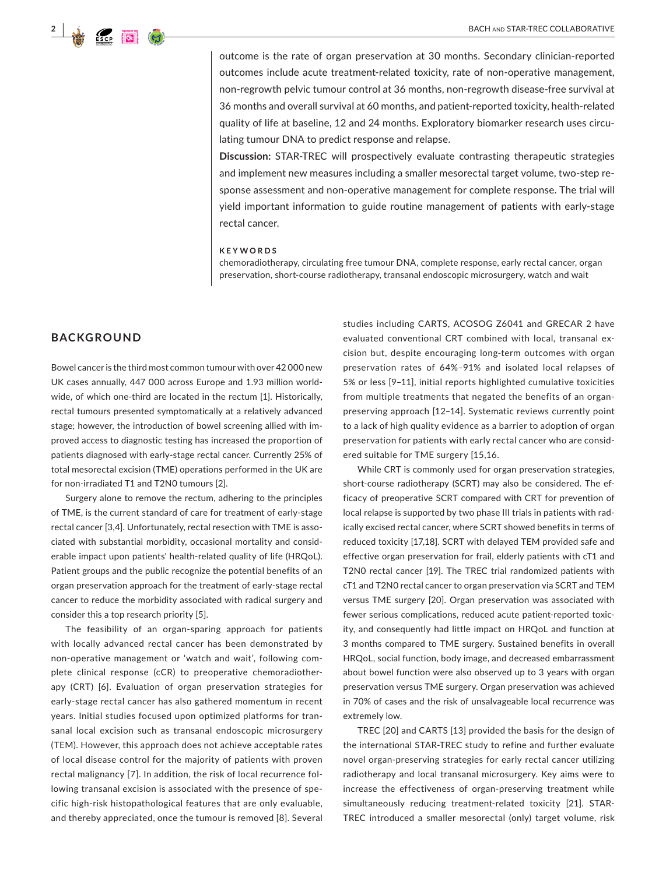

outcome is the rate of organ preservation at 30 months. Secondary clinician-reported outcomes include acute treatment-related toxicity, rate of non-operative management, non-regrowth pelvic tumour control at 36 months, non-regrowth disease-free survival at 36 months and overall survival at 60 months, and patient-reported toxicity, health-related quality of life at baseline, 12 and 24 months. Exploratory biomarker research uses circulating tumour DNA to predict response and relapse.

**Discussion:** STAR-TREC will prospectively evaluate contrasting therapeutic strategies and implement new measures including a smaller mesorectal target volume, two-step response assessment and non-operative management for complete response. The trial will yield important information to guide routine management of patients with early-stage rectal cancer.

#### **KEYWORDS**

chemoradiotherapy, circulating free tumour DNA, complete response, early rectal cancer, organ preservation, short-course radiotherapy, transanal endoscopic microsurgery, watch and wait

# **BACKGROUND**

Bowel cancer is the third most common tumour with over 42 000 new UK cases annually, 447 000 across Europe and 1.93 million worldwide, of which one-third are located in the rectum [1]. Historically, rectal tumours presented symptomatically at a relatively advanced stage; however, the introduction of bowel screening allied with improved access to diagnostic testing has increased the proportion of patients diagnosed with early-stage rectal cancer. Currently 25% of total mesorectal excision (TME) operations performed in the UK are for non-irradiated T1 and T2N0 tumours [2].

Surgery alone to remove the rectum, adhering to the principles of TME, is the current standard of care for treatment of early-stage rectal cancer [3,4]. Unfortunately, rectal resection with TME is associated with substantial morbidity, occasional mortality and considerable impact upon patients' health-related quality of life (HRQoL). Patient groups and the public recognize the potential benefits of an organ preservation approach for the treatment of early-stage rectal cancer to reduce the morbidity associated with radical surgery and consider this a top research priority [5].

The feasibility of an organ-sparing approach for patients with locally advanced rectal cancer has been demonstrated by non-operative management or 'watch and wait', following complete clinical response (cCR) to preoperative chemoradiotherapy (CRT) [6]. Evaluation of organ preservation strategies for early-stage rectal cancer has also gathered momentum in recent years. Initial studies focused upon optimized platforms for transanal local excision such as transanal endoscopic microsurgery (TEM). However, this approach does not achieve acceptable rates of local disease control for the majority of patients with proven rectal malignancy [7]. In addition, the risk of local recurrence following transanal excision is associated with the presence of specific high-risk histopathological features that are only evaluable, and thereby appreciated, once the tumour is removed [8]. Several

studies including CARTS, ACOSOG Z6041 and GRECAR 2 have evaluated conventional CRT combined with local, transanal excision but, despite encouraging long-term outcomes with organ preservation rates of 64%–91% and isolated local relapses of 5% or less [9–11], initial reports highlighted cumulative toxicities from multiple treatments that negated the benefits of an organpreserving approach [12–14]. Systematic reviews currently point to a lack of high quality evidence as a barrier to adoption of organ preservation for patients with early rectal cancer who are considered suitable for TME surgery [15,16.

While CRT is commonly used for organ preservation strategies, short-course radiotherapy (SCRT) may also be considered. The efficacy of preoperative SCRT compared with CRT for prevention of local relapse is supported by two phase III trials in patients with radically excised rectal cancer, where SCRT showed benefits in terms of reduced toxicity [17,18]. SCRT with delayed TEM provided safe and effective organ preservation for frail, elderly patients with cT1 and T2N0 rectal cancer [19]. The TREC trial randomized patients with cT1 and T2N0 rectal cancer to organ preservation via SCRT and TEM versus TME surgery [20]. Organ preservation was associated with fewer serious complications, reduced acute patient-reported toxicity, and consequently had little impact on HRQoL and function at 3 months compared to TME surgery. Sustained benefits in overall HRQoL, social function, body image, and decreased embarrassment about bowel function were also observed up to 3 years with organ preservation versus TME surgery. Organ preservation was achieved in 70% of cases and the risk of unsalvageable local recurrence was extremely low.

TREC [20] and CARTS [13] provided the basis for the design of the international STAR-TREC study to refine and further evaluate novel organ-preserving strategies for early rectal cancer utilizing radiotherapy and local transanal microsurgery. Key aims were to increase the effectiveness of organ-preserving treatment while simultaneously reducing treatment-related toxicity [21]. STAR-TREC introduced a smaller mesorectal (only) target volume, risk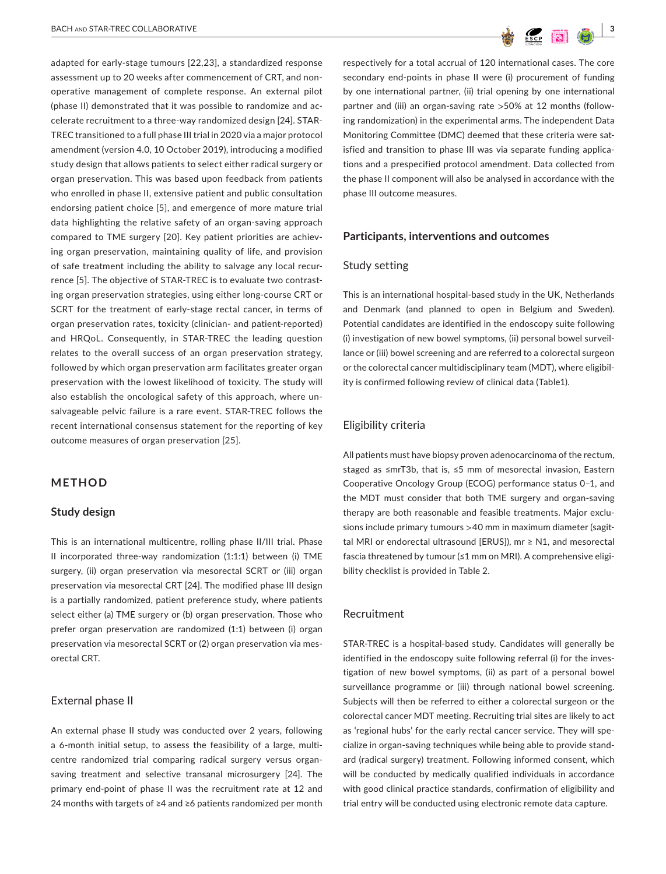adapted for early-stage tumours [22,23], a standardized response assessment up to 20 weeks after commencement of CRT, and nonoperative management of complete response. An external pilot (phase II) demonstrated that it was possible to randomize and accelerate recruitment to a three-way randomized design [24]. STAR-TREC transitioned to a full phase III trial in 2020 via a major protocol amendment (version 4.0, 10 October 2019), introducing a modified study design that allows patients to select either radical surgery or organ preservation. This was based upon feedback from patients who enrolled in phase II, extensive patient and public consultation endorsing patient choice [5], and emergence of more mature trial data highlighting the relative safety of an organ-saving approach compared to TME surgery [20]. Key patient priorities are achieving organ preservation, maintaining quality of life, and provision of safe treatment including the ability to salvage any local recurrence [5]. The objective of STAR-TREC is to evaluate two contrasting organ preservation strategies, using either long-course CRT or SCRT for the treatment of early-stage rectal cancer, in terms of organ preservation rates, toxicity (clinician- and patient-reported) and HRQoL. Consequently, in STAR-TREC the leading question relates to the overall success of an organ preservation strategy, followed by which organ preservation arm facilitates greater organ preservation with the lowest likelihood of toxicity. The study will also establish the oncological safety of this approach, where unsalvageable pelvic failure is a rare event. STAR-TREC follows the recent international consensus statement for the reporting of key outcome measures of organ preservation [25].

# **METHOD**

#### **Study design**

This is an international multicentre, rolling phase II/III trial. Phase II incorporated three-way randomization (1:1:1) between (i) TME surgery, (ii) organ preservation via mesorectal SCRT or (iii) organ preservation via mesorectal CRT [24]. The modified phase III design is a partially randomized, patient preference study, where patients select either (a) TME surgery or (b) organ preservation. Those who prefer organ preservation are randomized (1:1) between (i) organ preservation via mesorectal SCRT or (2) organ preservation via mesorectal CRT.

#### External phase II

An external phase II study was conducted over 2 years, following a 6-month initial setup, to assess the feasibility of a large, multicentre randomized trial comparing radical surgery versus organsaving treatment and selective transanal microsurgery [24]. The primary end-point of phase II was the recruitment rate at 12 and 24 months with targets of ≥4 and ≥6 patients randomized per month

respectively for a total accrual of 120 international cases. The core secondary end-points in phase II were (i) procurement of funding by one international partner, (ii) trial opening by one international partner and (iii) an organ-saving rate >50% at 12 months (following randomization) in the experimental arms. The independent Data Monitoring Committee (DMC) deemed that these criteria were satisfied and transition to phase III was via separate funding applications and a prespecified protocol amendment. Data collected from the phase II component will also be analysed in accordance with the phase III outcome measures.

#### **Participants, interventions and outcomes**

#### Study setting

This is an international hospital-based study in the UK, Netherlands and Denmark (and planned to open in Belgium and Sweden). Potential candidates are identified in the endoscopy suite following (i) investigation of new bowel symptoms, (ii) personal bowel surveillance or (iii) bowel screening and are referred to a colorectal surgeon or the colorectal cancer multidisciplinary team (MDT), where eligibility is confirmed following review of clinical data (Table1).

# Eligibility criteria

All patients must have biopsy proven adenocarcinoma of the rectum, staged as ≤mrT3b, that is, ≤5 mm of mesorectal invasion, Eastern Cooperative Oncology Group (ECOG) performance status 0–1, and the MDT must consider that both TME surgery and organ-saving therapy are both reasonable and feasible treatments. Major exclusions include primary tumours >40 mm in maximum diameter (sagittal MRI or endorectal ultrasound [ERUS]), mr ≥ N1, and mesorectal fascia threatened by tumour (≤1 mm on MRI). A comprehensive eligibility checklist is provided in Table 2.

#### Recruitment

STAR-TREC is a hospital-based study. Candidates will generally be identified in the endoscopy suite following referral (i) for the investigation of new bowel symptoms, (ii) as part of a personal bowel surveillance programme or (iii) through national bowel screening. Subjects will then be referred to either a colorectal surgeon or the colorectal cancer MDT meeting. Recruiting trial sites are likely to act as 'regional hubs' for the early rectal cancer service. They will specialize in organ-saving techniques while being able to provide standard (radical surgery) treatment. Following informed consent, which will be conducted by medically qualified individuals in accordance with good clinical practice standards, confirmation of eligibility and trial entry will be conducted using electronic remote data capture.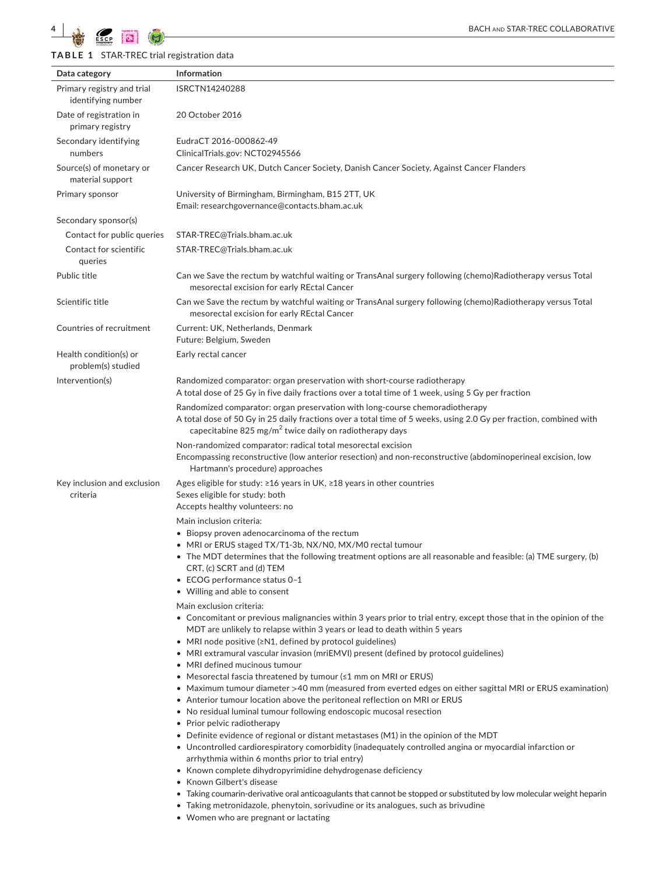**TABLE 1** STAR-TREC trial registration data

| Data category                                    | Information                                                                                                                                                                                                                                                                                                                                                                                                                                                                                                                                                                                                                                                                                                                                                                                                                                                                                                                                                                                                                                                                                                                                                                                                                                                                                                                                                                                                                   |
|--------------------------------------------------|-------------------------------------------------------------------------------------------------------------------------------------------------------------------------------------------------------------------------------------------------------------------------------------------------------------------------------------------------------------------------------------------------------------------------------------------------------------------------------------------------------------------------------------------------------------------------------------------------------------------------------------------------------------------------------------------------------------------------------------------------------------------------------------------------------------------------------------------------------------------------------------------------------------------------------------------------------------------------------------------------------------------------------------------------------------------------------------------------------------------------------------------------------------------------------------------------------------------------------------------------------------------------------------------------------------------------------------------------------------------------------------------------------------------------------|
| Primary registry and trial<br>identifying number | ISRCTN14240288                                                                                                                                                                                                                                                                                                                                                                                                                                                                                                                                                                                                                                                                                                                                                                                                                                                                                                                                                                                                                                                                                                                                                                                                                                                                                                                                                                                                                |
| Date of registration in<br>primary registry      | 20 October 2016                                                                                                                                                                                                                                                                                                                                                                                                                                                                                                                                                                                                                                                                                                                                                                                                                                                                                                                                                                                                                                                                                                                                                                                                                                                                                                                                                                                                               |
| Secondary identifying<br>numbers                 | EudraCT 2016-000862-49<br>ClinicalTrials.gov: NCT02945566                                                                                                                                                                                                                                                                                                                                                                                                                                                                                                                                                                                                                                                                                                                                                                                                                                                                                                                                                                                                                                                                                                                                                                                                                                                                                                                                                                     |
| Source(s) of monetary or<br>material support     | Cancer Research UK, Dutch Cancer Society, Danish Cancer Society, Against Cancer Flanders                                                                                                                                                                                                                                                                                                                                                                                                                                                                                                                                                                                                                                                                                                                                                                                                                                                                                                                                                                                                                                                                                                                                                                                                                                                                                                                                      |
| Primary sponsor                                  | University of Birmingham, Birmingham, B15 2TT, UK<br>Email: researchgovernance@contacts.bham.ac.uk                                                                                                                                                                                                                                                                                                                                                                                                                                                                                                                                                                                                                                                                                                                                                                                                                                                                                                                                                                                                                                                                                                                                                                                                                                                                                                                            |
| Secondary sponsor(s)                             |                                                                                                                                                                                                                                                                                                                                                                                                                                                                                                                                                                                                                                                                                                                                                                                                                                                                                                                                                                                                                                                                                                                                                                                                                                                                                                                                                                                                                               |
| Contact for public queries                       | STAR-TREC@Trials.bham.ac.uk                                                                                                                                                                                                                                                                                                                                                                                                                                                                                                                                                                                                                                                                                                                                                                                                                                                                                                                                                                                                                                                                                                                                                                                                                                                                                                                                                                                                   |
| Contact for scientific<br>queries                | STAR-TREC@Trials.bham.ac.uk                                                                                                                                                                                                                                                                                                                                                                                                                                                                                                                                                                                                                                                                                                                                                                                                                                                                                                                                                                                                                                                                                                                                                                                                                                                                                                                                                                                                   |
| Public title                                     | Can we Save the rectum by watchful waiting or TransAnal surgery following (chemo)Radiotherapy versus Total<br>mesorectal excision for early REctal Cancer                                                                                                                                                                                                                                                                                                                                                                                                                                                                                                                                                                                                                                                                                                                                                                                                                                                                                                                                                                                                                                                                                                                                                                                                                                                                     |
| Scientific title                                 | Can we Save the rectum by watchful waiting or TransAnal surgery following (chemo)Radiotherapy versus Total<br>mesorectal excision for early REctal Cancer                                                                                                                                                                                                                                                                                                                                                                                                                                                                                                                                                                                                                                                                                                                                                                                                                                                                                                                                                                                                                                                                                                                                                                                                                                                                     |
| Countries of recruitment                         | Current: UK, Netherlands, Denmark<br>Future: Belgium, Sweden                                                                                                                                                                                                                                                                                                                                                                                                                                                                                                                                                                                                                                                                                                                                                                                                                                                                                                                                                                                                                                                                                                                                                                                                                                                                                                                                                                  |
| Health condition(s) or<br>problem(s) studied     | Early rectal cancer                                                                                                                                                                                                                                                                                                                                                                                                                                                                                                                                                                                                                                                                                                                                                                                                                                                                                                                                                                                                                                                                                                                                                                                                                                                                                                                                                                                                           |
| Intervention(s)                                  | Randomized comparator: organ preservation with short-course radiotherapy<br>A total dose of 25 Gy in five daily fractions over a total time of 1 week, using 5 Gy per fraction                                                                                                                                                                                                                                                                                                                                                                                                                                                                                                                                                                                                                                                                                                                                                                                                                                                                                                                                                                                                                                                                                                                                                                                                                                                |
|                                                  | Randomized comparator: organ preservation with long-course chemoradiotherapy<br>A total dose of 50 Gy in 25 daily fractions over a total time of 5 weeks, using 2.0 Gy per fraction, combined with<br>capecitabine 825 mg/m <sup>2</sup> twice daily on radiotherapy days                                                                                                                                                                                                                                                                                                                                                                                                                                                                                                                                                                                                                                                                                                                                                                                                                                                                                                                                                                                                                                                                                                                                                     |
|                                                  | Non-randomized comparator: radical total mesorectal excision<br>Encompassing reconstructive (low anterior resection) and non-reconstructive (abdominoperineal excision, low<br>Hartmann's procedure) approaches                                                                                                                                                                                                                                                                                                                                                                                                                                                                                                                                                                                                                                                                                                                                                                                                                                                                                                                                                                                                                                                                                                                                                                                                               |
| Key inclusion and exclusion<br>criteria          | Ages eligible for study: $\geq 16$ years in UK, $\geq 18$ years in other countries<br>Sexes eligible for study: both<br>Accepts healthy volunteers: no                                                                                                                                                                                                                                                                                                                                                                                                                                                                                                                                                                                                                                                                                                                                                                                                                                                                                                                                                                                                                                                                                                                                                                                                                                                                        |
|                                                  | Main inclusion criteria:<br>• Biopsy proven adenocarcinoma of the rectum<br>• MRI or ERUS staged TX/T1-3b, NX/N0, MX/M0 rectal tumour<br>• The MDT determines that the following treatment options are all reasonable and feasible: (a) TME surgery, (b)<br>CRT, (c) SCRT and (d) TEM<br>• ECOG performance status 0-1<br>• Willing and able to consent                                                                                                                                                                                                                                                                                                                                                                                                                                                                                                                                                                                                                                                                                                                                                                                                                                                                                                                                                                                                                                                                       |
|                                                  | Main exclusion criteria:<br>$\bullet$ Concomitant or previous malignancies within 3 years prior to trial entry, except those that in the opinion of the<br>MDT are unlikely to relapse within 3 years or lead to death within 5 years<br>• MRI node positive (≥N1, defined by protocol guidelines)<br>• MRI extramural vascular invasion (mriEMVI) present (defined by protocol guidelines)<br>• MRI defined mucinous tumour<br>• Mesorectal fascia threatened by tumour (≤1 mm on MRI or ERUS)<br>• Maximum tumour diameter >40 mm (measured from everted edges on either sagittal MRI or ERUS examination)<br>• Anterior tumour location above the peritoneal reflection on MRI or ERUS<br>• No residual luminal tumour following endoscopic mucosal resection<br>• Prior pelvic radiotherapy<br>• Definite evidence of regional or distant metastases (M1) in the opinion of the MDT<br>• Uncontrolled cardiorespiratory comorbidity (inadequately controlled angina or myocardial infarction or<br>arrhythmia within 6 months prior to trial entry)<br>$\bullet~$ Known complete dihydropyrimidine dehydrogenase deficiency<br>• Known Gilbert's disease<br>$\bullet~$ Taking coumarin-derivative oral anticoagulants that cannot be stopped or substituted by low molecular weight heparin<br>• Taking metronidazole, phenytoin, sorivudine or its analogues, such as brivudine<br>• Women who are pregnant or lactating |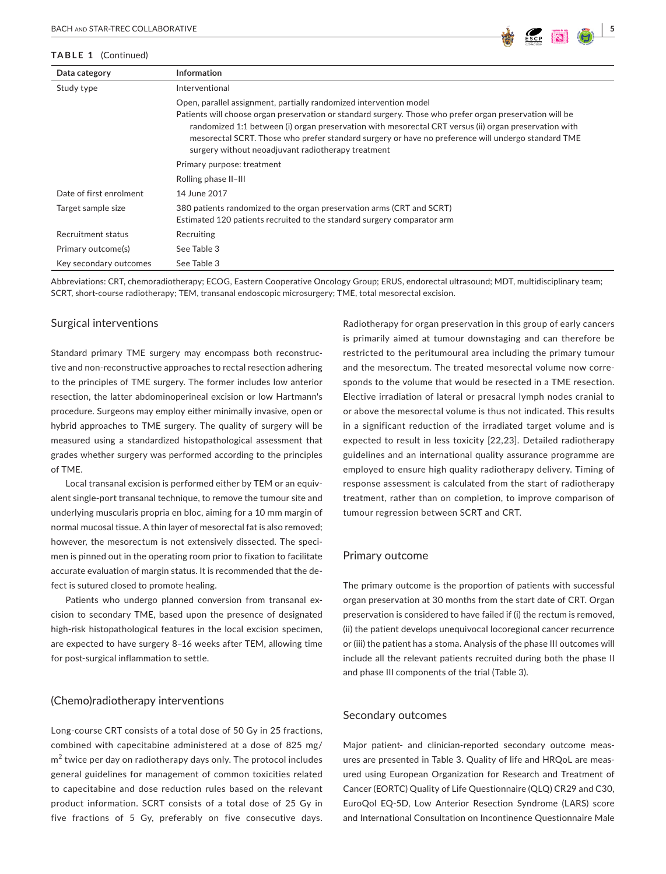#### **TABLE 1** (Continued)

| Data category           | <b>Information</b>                                                                                                                                                                                                                                                                                                                                                                                                                                  |
|-------------------------|-----------------------------------------------------------------------------------------------------------------------------------------------------------------------------------------------------------------------------------------------------------------------------------------------------------------------------------------------------------------------------------------------------------------------------------------------------|
| Study type              | Interventional                                                                                                                                                                                                                                                                                                                                                                                                                                      |
|                         | Open, parallel assignment, partially randomized intervention model<br>Patients will choose organ preservation or standard surgery. Those who prefer organ preservation will be<br>randomized 1:1 between (i) organ preservation with mesorectal CRT versus (ii) organ preservation with<br>mesorectal SCRT. Those who prefer standard surgery or have no preference will undergo standard TME<br>surgery without neoadjuvant radiotherapy treatment |
|                         | Primary purpose: treatment                                                                                                                                                                                                                                                                                                                                                                                                                          |
|                         | Rolling phase II-III                                                                                                                                                                                                                                                                                                                                                                                                                                |
| Date of first enrolment | 14 June 2017                                                                                                                                                                                                                                                                                                                                                                                                                                        |
| Target sample size      | 380 patients randomized to the organ preservation arms (CRT and SCRT)<br>Estimated 120 patients recruited to the standard surgery comparator arm                                                                                                                                                                                                                                                                                                    |
| Recruitment status      | Recruiting                                                                                                                                                                                                                                                                                                                                                                                                                                          |
| Primary outcome(s)      | See Table 3                                                                                                                                                                                                                                                                                                                                                                                                                                         |
| Key secondary outcomes  | See Table 3                                                                                                                                                                                                                                                                                                                                                                                                                                         |

Abbreviations: CRT, chemoradiotherapy; ECOG, Eastern Cooperative Oncology Group; ERUS, endorectal ultrasound; MDT, multidisciplinary team; SCRT, short-course radiotherapy; TEM, transanal endoscopic microsurgery; TME, total mesorectal excision.

#### Surgical interventions

Standard primary TME surgery may encompass both reconstructive and non-reconstructive approaches to rectal resection adhering to the principles of TME surgery. The former includes low anterior resection, the latter abdominoperineal excision or low Hartmann's procedure. Surgeons may employ either minimally invasive, open or hybrid approaches to TME surgery. The quality of surgery will be measured using a standardized histopathological assessment that grades whether surgery was performed according to the principles of TME.

Local transanal excision is performed either by TEM or an equivalent single-port transanal technique, to remove the tumour site and underlying muscularis propria en bloc, aiming for a 10 mm margin of normal mucosal tissue. A thin layer of mesorectal fat is also removed; however, the mesorectum is not extensively dissected. The specimen is pinned out in the operating room prior to fixation to facilitate accurate evaluation of margin status. It is recommended that the defect is sutured closed to promote healing.

Patients who undergo planned conversion from transanal excision to secondary TME, based upon the presence of designated high-risk histopathological features in the local excision specimen, are expected to have surgery 8–16 weeks after TEM, allowing time for post-surgical inflammation to settle.

#### (Chemo)radiotherapy interventions

Long-course CRT consists of a total dose of 50 Gy in 25 fractions, combined with capecitabine administered at a dose of 825 mg/  $\text{m}^2$  twice per day on radiotherapy days only. The protocol includes general guidelines for management of common toxicities related to capecitabine and dose reduction rules based on the relevant product information. SCRT consists of a total dose of 25 Gy in five fractions of 5 Gy, preferably on five consecutive days.

Radiotherapy for organ preservation in this group of early cancers is primarily aimed at tumour downstaging and can therefore be restricted to the peritumoural area including the primary tumour and the mesorectum. The treated mesorectal volume now corresponds to the volume that would be resected in a TME resection. Elective irradiation of lateral or presacral lymph nodes cranial to or above the mesorectal volume is thus not indicated. This results in a significant reduction of the irradiated target volume and is expected to result in less toxicity [22,23]. Detailed radiotherapy guidelines and an international quality assurance programme are employed to ensure high quality radiotherapy delivery. Timing of response assessment is calculated from the start of radiotherapy treatment, rather than on completion, to improve comparison of tumour regression between SCRT and CRT.

#### Primary outcome

The primary outcome is the proportion of patients with successful organ preservation at 30 months from the start date of CRT. Organ preservation is considered to have failed if (i) the rectum is removed, (ii) the patient develops unequivocal locoregional cancer recurrence or (iii) the patient has a stoma. Analysis of the phase III outcomes will include all the relevant patients recruited during both the phase II and phase III components of the trial (Table 3).

## Secondary outcomes

Major patient- and clinician-reported secondary outcome measures are presented in Table 3. Quality of life and HRQoL are measured using European Organization for Research and Treatment of Cancer (EORTC) Quality of Life Questionnaire (QLQ) CR29 and C30, EuroQol EQ-5D, Low Anterior Resection Syndrome (LARS) score and International Consultation on Incontinence Questionnaire Male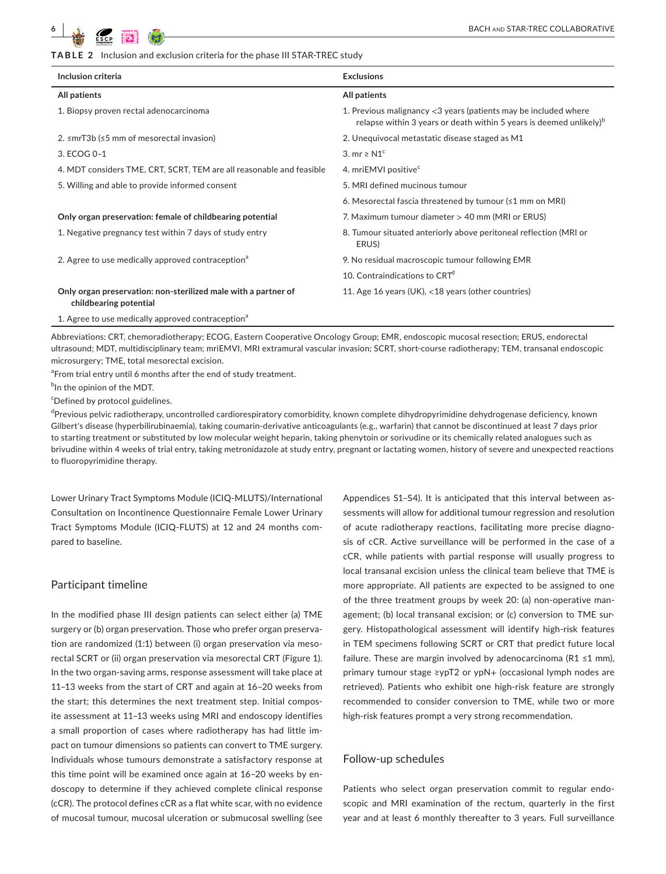**TABLE 2** Inclusion and exclusion criteria for the phase III STAR-TREC study

| Inclusion criteria                                                                       | <b>Exclusions</b>                                                                                                                                  |  |  |  |  |
|------------------------------------------------------------------------------------------|----------------------------------------------------------------------------------------------------------------------------------------------------|--|--|--|--|
| All patients                                                                             | All patients                                                                                                                                       |  |  |  |  |
| 1. Biopsy proven rectal adenocarcinoma                                                   | 1. Previous malignancy <3 years (patients may be included where<br>relapse within 3 years or death within 5 years is deemed unlikely) <sup>b</sup> |  |  |  |  |
| 2. ≤mrT3b (≤5 mm of mesorectal invasion)                                                 | 2. Unequivocal metastatic disease staged as M1                                                                                                     |  |  |  |  |
| 3. ECOG 0-1                                                                              | 3. mr $\geq N1^c$                                                                                                                                  |  |  |  |  |
| 4. MDT considers TME, CRT, SCRT, TEM are all reasonable and feasible                     | 4. mriEMVI positive <sup>c</sup>                                                                                                                   |  |  |  |  |
| 5. Willing and able to provide informed consent                                          | 5. MRI defined mucinous tumour                                                                                                                     |  |  |  |  |
|                                                                                          | 6. Mesorectal fascia threatened by tumour (≤1 mm on MRI)                                                                                           |  |  |  |  |
| Only organ preservation: female of childbearing potential                                | 7. Maximum tumour diameter > 40 mm (MRI or ERUS)                                                                                                   |  |  |  |  |
| 1. Negative pregnancy test within 7 days of study entry                                  | 8. Tumour situated anteriorly above peritoneal reflection (MRI or<br>ERUS)                                                                         |  |  |  |  |
| 2. Agree to use medically approved contraception <sup>a</sup>                            | 9. No residual macroscopic tumour following EMR                                                                                                    |  |  |  |  |
|                                                                                          | 10. Contraindications to CRT <sup>d</sup>                                                                                                          |  |  |  |  |
| Only organ preservation: non-sterilized male with a partner of<br>childbearing potential | 11. Age 16 years (UK), <18 years (other countries)                                                                                                 |  |  |  |  |
| 1. Agree to use medically approved contraception <sup>a</sup>                            |                                                                                                                                                    |  |  |  |  |

Abbreviations: CRT, chemoradiotherapy; ECOG, Eastern Cooperative Oncology Group; EMR, endoscopic mucosal resection; ERUS, endorectal ultrasound; MDT, multidisciplinary team; mriEMVI, MRI extramural vascular invasion; SCRT, short-course radiotherapy; TEM, transanal endoscopic microsurgery; TME, total mesorectal excision.

<sup>a</sup> From trial entry until 6 months after the end of study treatment.

<sup>b</sup>In the opinion of the MDT.

c Defined by protocol guidelines.

<sup>d</sup>Previous pelvic radiotherapy, uncontrolled cardiorespiratory comorbidity, known complete dihydropyrimidine dehydrogenase deficiency, known Gilbert's disease (hyperbilirubinaemia), taking coumarin-derivative anticoagulants (e.g., warfarin) that cannot be discontinued at least 7 days prior to starting treatment or substituted by low molecular weight heparin, taking phenytoin or sorivudine or its chemically related analogues such as brivudine within 4 weeks of trial entry, taking metronidazole at study entry, pregnant or lactating women, history of severe and unexpected reactions to fluoropyrimidine therapy.

Lower Urinary Tract Symptoms Module (ICIQ-MLUTS)/International Consultation on Incontinence Questionnaire Female Lower Urinary Tract Symptoms Module (ICIQ-FLUTS) at 12 and 24 months compared to baseline.

#### Participant timeline

In the modified phase III design patients can select either (a) TME surgery or (b) organ preservation. Those who prefer organ preservation are randomized (1:1) between (i) organ preservation via mesorectal SCRT or (ii) organ preservation via mesorectal CRT (Figure 1). In the two organ-saving arms, response assessment will take place at 11–13 weeks from the start of CRT and again at 16–20 weeks from the start; this determines the next treatment step. Initial composite assessment at 11–13 weeks using MRI and endoscopy identifies a small proportion of cases where radiotherapy has had little impact on tumour dimensions so patients can convert to TME surgery. Individuals whose tumours demonstrate a satisfactory response at this time point will be examined once again at 16–20 weeks by endoscopy to determine if they achieved complete clinical response (cCR). The protocol defines cCR as a flat white scar, with no evidence of mucosal tumour, mucosal ulceration or submucosal swelling (see Appendices S1–S4). It is anticipated that this interval between assessments will allow for additional tumour regression and resolution of acute radiotherapy reactions, facilitating more precise diagnosis of cCR. Active surveillance will be performed in the case of a cCR, while patients with partial response will usually progress to local transanal excision unless the clinical team believe that TME is more appropriate. All patients are expected to be assigned to one of the three treatment groups by week 20: (a) non-operative management; (b) local transanal excision; or (c) conversion to TME surgery. Histopathological assessment will identify high-risk features in TEM specimens following SCRT or CRT that predict future local failure. These are margin involved by adenocarcinoma (R1 ≤1 mm), primary tumour stage ≥ypT2 or ypN+ (occasional lymph nodes are retrieved). Patients who exhibit one high-risk feature are strongly recommended to consider conversion to TME, while two or more high-risk features prompt a very strong recommendation.

#### Follow-up schedules

Patients who select organ preservation commit to regular endoscopic and MRI examination of the rectum, quarterly in the first year and at least 6 monthly thereafter to 3 years. Full surveillance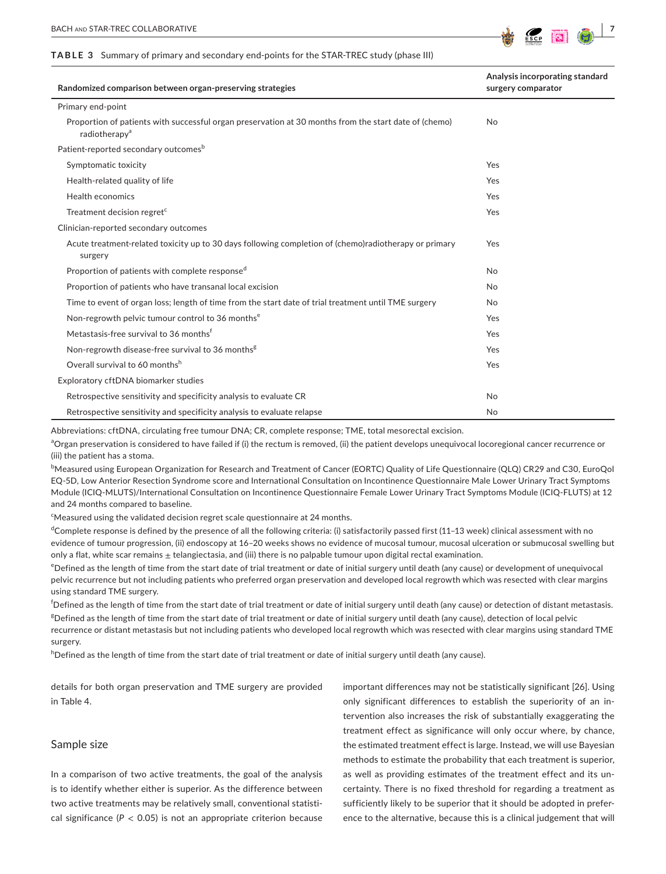#### **TABLE 3** Summary of primary and secondary end-points for the STAR-TREC study (phase III)



| Randomized comparison between organ-preserving strategies                                                                          | Analysis incorporating standard<br>surgery comparator |  |  |
|------------------------------------------------------------------------------------------------------------------------------------|-------------------------------------------------------|--|--|
| Primary end-point                                                                                                                  |                                                       |  |  |
| Proportion of patients with successful organ preservation at 30 months from the start date of (chemo)<br>radiotherapy <sup>a</sup> | No                                                    |  |  |
| Patient-reported secondary outcomes <sup>b</sup>                                                                                   |                                                       |  |  |
| Symptomatic toxicity                                                                                                               | Yes                                                   |  |  |
| Health-related quality of life                                                                                                     | Yes                                                   |  |  |
| Health economics                                                                                                                   | Yes                                                   |  |  |
| Treatment decision regret <sup>c</sup>                                                                                             | Yes                                                   |  |  |
| Clinician-reported secondary outcomes                                                                                              |                                                       |  |  |
| Acute treatment-related toxicity up to 30 days following completion of (chemo)radiotherapy or primary<br>surgery                   | Yes                                                   |  |  |
| Proportion of patients with complete responsed                                                                                     | No                                                    |  |  |
| Proportion of patients who have transanal local excision                                                                           | No                                                    |  |  |
| Time to event of organ loss; length of time from the start date of trial treatment until TME surgery                               | No                                                    |  |  |
| Non-regrowth pelvic tumour control to 36 months <sup>e</sup>                                                                       | Yes                                                   |  |  |
| Metastasis-free survival to 36 months <sup>t</sup>                                                                                 | Yes                                                   |  |  |
| Non-regrowth disease-free survival to 36 months <sup>g</sup>                                                                       | Yes                                                   |  |  |
| Overall survival to 60 monthsh                                                                                                     | Yes                                                   |  |  |
| Exploratory cftDNA biomarker studies                                                                                               |                                                       |  |  |
| Retrospective sensitivity and specificity analysis to evaluate CR                                                                  | No                                                    |  |  |
| Retrospective sensitivity and specificity analysis to evaluate relapse                                                             | No                                                    |  |  |

Abbreviations: cftDNA, circulating free tumour DNA; CR, complete response; TME, total mesorectal excision.

<sup>a</sup>Organ preservation is considered to have failed if (i) the rectum is removed, (ii) the patient develops unequivocal locoregional cancer recurrence or (iii) the patient has a stoma.

b Measured using European Organization for Research and Treatment of Cancer (EORTC) Quality of Life Questionnaire (QLQ) CR29 and C30, EuroQol EQ-5D, Low Anterior Resection Syndrome score and International Consultation on Incontinence Questionnaire Male Lower Urinary Tract Symptoms Module (ICIQ-MLUTS)/International Consultation on Incontinence Questionnaire Female Lower Urinary Tract Symptoms Module (ICIQ-FLUTS) at 12 and 24 months compared to baseline.

<sup>c</sup>Measured using the validated decision regret scale questionnaire at 24 months.

 $^{\text{d}}$ Complete response is defined by the presence of all the following criteria: (i) satisfactorily passed first (11–13 week) clinical assessment with no evidence of tumour progression, (ii) endoscopy at 16–20 weeks shows no evidence of mucosal tumour, mucosal ulceration or submucosal swelling but only a flat, white scar remains  $\pm$  telangiectasia, and (iii) there is no palpable tumour upon digital rectal examination.

e Defined as the length of time from the start date of trial treatment or date of initial surgery until death (any cause) or development of unequivocal pelvic recurrence but not including patients who preferred organ preservation and developed local regrowth which was resected with clear margins using standard TME surgery.

f Defined as the length of time from the start date of trial treatment or date of initial surgery until death (any cause) or detection of distant metastasis. g Defined as the length of time from the start date of trial treatment or date of initial surgery until death (any cause), detection of local pelvic recurrence or distant metastasis but not including patients who developed local regrowth which was resected with clear margins using standard TME surgery.

h Defined as the length of time from the start date of trial treatment or date of initial surgery until death (any cause).

details for both organ preservation and TME surgery are provided in Table 4.

# Sample size

In a comparison of two active treatments, the goal of the analysis is to identify whether either is superior. As the difference between two active treatments may be relatively small, conventional statistical significance ( $P < 0.05$ ) is not an appropriate criterion because important differences may not be statistically significant [26]. Using only significant differences to establish the superiority of an intervention also increases the risk of substantially exaggerating the treatment effect as significance will only occur where, by chance, the estimated treatment effect is large. Instead, we will use Bayesian methods to estimate the probability that each treatment is superior, as well as providing estimates of the treatment effect and its uncertainty. There is no fixed threshold for regarding a treatment as sufficiently likely to be superior that it should be adopted in preference to the alternative, because this is a clinical judgement that will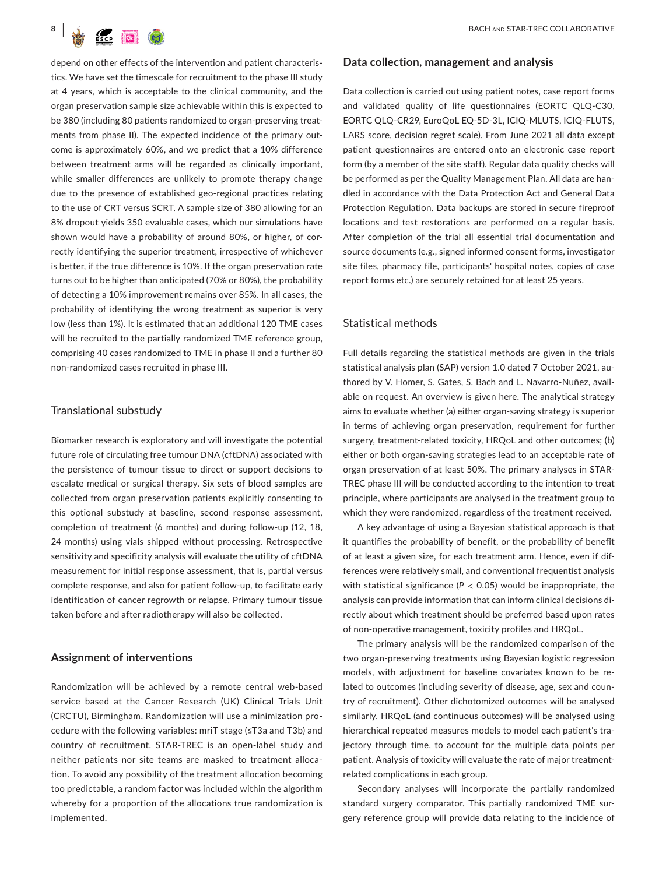

depend on other effects of the intervention and patient characteristics. We have set the timescale for recruitment to the phase III study at 4 years, which is acceptable to the clinical community, and the organ preservation sample size achievable within this is expected to be 380 (including 80 patients randomized to organ-preserving treatments from phase II). The expected incidence of the primary outcome is approximately 60%, and we predict that a 10% difference between treatment arms will be regarded as clinically important, while smaller differences are unlikely to promote therapy change due to the presence of established geo-regional practices relating to the use of CRT versus SCRT. A sample size of 380 allowing for an 8% dropout yields 350 evaluable cases, which our simulations have shown would have a probability of around 80%, or higher, of correctly identifying the superior treatment, irrespective of whichever is better, if the true difference is 10%. If the organ preservation rate turns out to be higher than anticipated (70% or 80%), the probability of detecting a 10% improvement remains over 85%. In all cases, the probability of identifying the wrong treatment as superior is very low (less than 1%). It is estimated that an additional 120 TME cases will be recruited to the partially randomized TME reference group, comprising 40 cases randomized to TME in phase II and a further 80 non-randomized cases recruited in phase III.

#### Translational substudy

Biomarker research is exploratory and will investigate the potential future role of circulating free tumour DNA (cftDNA) associated with the persistence of tumour tissue to direct or support decisions to escalate medical or surgical therapy. Six sets of blood samples are collected from organ preservation patients explicitly consenting to this optional substudy at baseline, second response assessment, completion of treatment (6 months) and during follow-up (12, 18, 24 months) using vials shipped without processing. Retrospective sensitivity and specificity analysis will evaluate the utility of cftDNA measurement for initial response assessment, that is, partial versus complete response, and also for patient follow-up, to facilitate early identification of cancer regrowth or relapse. Primary tumour tissue taken before and after radiotherapy will also be collected.

#### **Assignment of interventions**

Randomization will be achieved by a remote central web-based service based at the Cancer Research (UK) Clinical Trials Unit (CRCTU), Birmingham. Randomization will use a minimization procedure with the following variables: mriT stage (≤T3a and T3b) and country of recruitment. STAR-TREC is an open-label study and neither patients nor site teams are masked to treatment allocation. To avoid any possibility of the treatment allocation becoming too predictable, a random factor was included within the algorithm whereby for a proportion of the allocations true randomization is implemented.

#### **Data collection, management and analysis**

Data collection is carried out using patient notes, case report forms and validated quality of life questionnaires (EORTC QLQ-C30, EORTC QLQ-CR29, EuroQoL EQ-5D-3L, ICIQ-MLUTS, ICIQ-FLUTS, LARS score, decision regret scale). From June 2021 all data except patient questionnaires are entered onto an electronic case report form (by a member of the site staff). Regular data quality checks will be performed as per the Quality Management Plan. All data are handled in accordance with the Data Protection Act and General Data Protection Regulation. Data backups are stored in secure fireproof locations and test restorations are performed on a regular basis. After completion of the trial all essential trial documentation and source documents (e.g., signed informed consent forms, investigator site files, pharmacy file, participants' hospital notes, copies of case report forms etc.) are securely retained for at least 25 years.

#### Statistical methods

Full details regarding the statistical methods are given in the trials statistical analysis plan (SAP) version 1.0 dated 7 October 2021, authored by V. Homer, S. Gates, S. Bach and L. Navarro-Nuñez, available on request. An overview is given here. The analytical strategy aims to evaluate whether (a) either organ-saving strategy is superior in terms of achieving organ preservation, requirement for further surgery, treatment-related toxicity, HRQoL and other outcomes; (b) either or both organ-saving strategies lead to an acceptable rate of organ preservation of at least 50%. The primary analyses in STAR-TREC phase III will be conducted according to the intention to treat principle, where participants are analysed in the treatment group to which they were randomized, regardless of the treatment received.

A key advantage of using a Bayesian statistical approach is that it quantifies the probability of benefit, or the probability of benefit of at least a given size, for each treatment arm. Hence, even if differences were relatively small, and conventional frequentist analysis with statistical significance ( $P < 0.05$ ) would be inappropriate, the analysis can provide information that can inform clinical decisions directly about which treatment should be preferred based upon rates of non-operative management, toxicity profiles and HRQoL.

The primary analysis will be the randomized comparison of the two organ-preserving treatments using Bayesian logistic regression models, with adjustment for baseline covariates known to be related to outcomes (including severity of disease, age, sex and country of recruitment). Other dichotomized outcomes will be analysed similarly. HRQoL (and continuous outcomes) will be analysed using hierarchical repeated measures models to model each patient's trajectory through time, to account for the multiple data points per patient. Analysis of toxicity will evaluate the rate of major treatmentrelated complications in each group.

Secondary analyses will incorporate the partially randomized standard surgery comparator. This partially randomized TME surgery reference group will provide data relating to the incidence of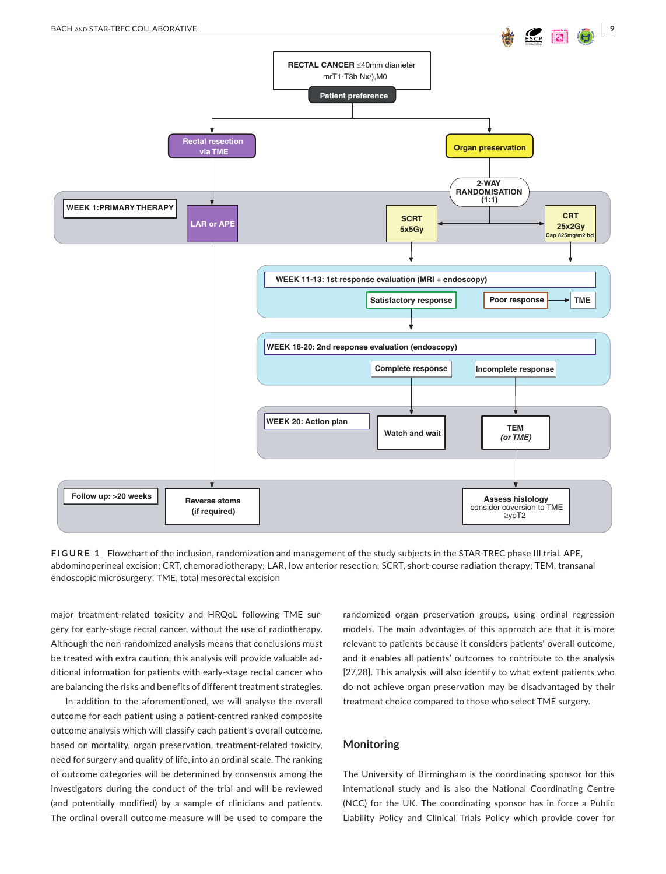

**FIGURE 1** Flowchart of the inclusion, randomization and management of the study subjects in the STAR-TREC phase III trial. APE, abdominoperineal excision; CRT, chemoradiotherapy; LAR, low anterior resection; SCRT, short-course radiation therapy; TEM, transanal endoscopic microsurgery; TME, total mesorectal excision

major treatment-related toxicity and HRQoL following TME surgery for early-stage rectal cancer, without the use of radiotherapy. Although the non-randomized analysis means that conclusions must be treated with extra caution, this analysis will provide valuable additional information for patients with early-stage rectal cancer who are balancing the risks and benefits of different treatment strategies.

In addition to the aforementioned, we will analyse the overall outcome for each patient using a patient-centred ranked composite outcome analysis which will classify each patient's overall outcome, based on mortality, organ preservation, treatment-related toxicity, need for surgery and quality of life, into an ordinal scale. The ranking of outcome categories will be determined by consensus among the investigators during the conduct of the trial and will be reviewed (and potentially modified) by a sample of clinicians and patients. The ordinal overall outcome measure will be used to compare the

randomized organ preservation groups, using ordinal regression models. The main advantages of this approach are that it is more relevant to patients because it considers patients' overall outcome, and it enables all patients' outcomes to contribute to the analysis [27,28]. This analysis will also identify to what extent patients who do not achieve organ preservation may be disadvantaged by their treatment choice compared to those who select TME surgery.

#### **Monitoring**

The University of Birmingham is the coordinating sponsor for this international study and is also the National Coordinating Centre (NCC) for the UK. The coordinating sponsor has in force a Public Liability Policy and Clinical Trials Policy which provide cover for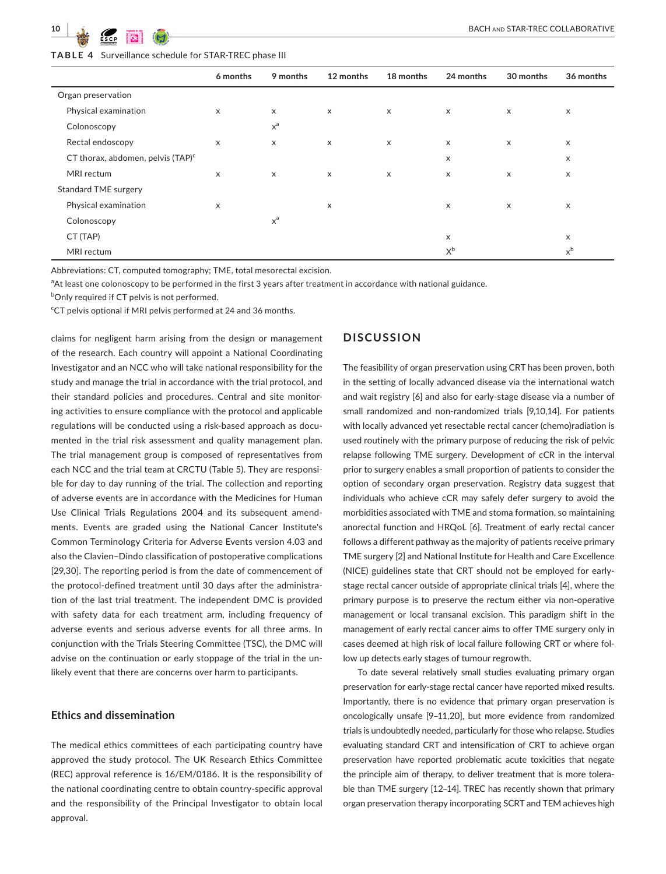**TABLE 4** Surveillance schedule for STAR-TREC phase III

|                                      | 6 months                  | 9 months     | 12 months                 | 18 months                 | 24 months | 30 months                 | 36 months |
|--------------------------------------|---------------------------|--------------|---------------------------|---------------------------|-----------|---------------------------|-----------|
| Organ preservation                   |                           |              |                           |                           |           |                           |           |
| Physical examination                 | $\times$                  | $\times$     | $\times$                  | $\times$                  | $\times$  | $\times$                  | X         |
| Colonoscopy                          |                           | $x^a$        |                           |                           |           |                           |           |
| Rectal endoscopy                     | $\times$                  | $\mathsf{x}$ | $\times$                  | $\times$                  | $\times$  | $\times$                  | $\times$  |
| CT thorax, abdomen, pelvis $(TAP)^c$ |                           |              |                           |                           | X         |                           | X         |
| MRI rectum                           | X                         | X            | $\boldsymbol{\mathsf{x}}$ | $\boldsymbol{\mathsf{x}}$ | X         | X                         | X         |
| <b>Standard TME surgery</b>          |                           |              |                           |                           |           |                           |           |
| Physical examination                 | $\boldsymbol{\mathsf{x}}$ |              | $\boldsymbol{\mathsf{X}}$ |                           | X         | $\boldsymbol{\mathsf{x}}$ | х         |
| Colonoscopy                          |                           | $x^a$        |                           |                           |           |                           |           |
| CT (TAP)                             |                           |              |                           |                           | X         |                           | X         |
| MRI rectum                           |                           |              |                           |                           | $X^b$     |                           | $x^b$     |

Abbreviations: CT, computed tomography; TME, total mesorectal excision.

<sup>a</sup>At least one colonoscopy to be performed in the first 3 years after treatment in accordance with national guidance.

<sup>b</sup>Only required if CT pelvis is not performed.

<sup>c</sup>CT pelvis optional if MRI pelvis performed at 24 and 36 months.

claims for negligent harm arising from the design or management of the research. Each country will appoint a National Coordinating Investigator and an NCC who will take national responsibility for the study and manage the trial in accordance with the trial protocol, and their standard policies and procedures. Central and site monitoring activities to ensure compliance with the protocol and applicable regulations will be conducted using a risk-based approach as documented in the trial risk assessment and quality management plan. The trial management group is composed of representatives from each NCC and the trial team at CRCTU (Table 5). They are responsible for day to day running of the trial. The collection and reporting of adverse events are in accordance with the Medicines for Human Use Clinical Trials Regulations 2004 and its subsequent amendments. Events are graded using the National Cancer Institute's Common Terminology Criteria for Adverse Events version 4.03 and also the Clavien–Dindo classification of postoperative complications [29,30]. The reporting period is from the date of commencement of the protocol-defined treatment until 30 days after the administration of the last trial treatment. The independent DMC is provided with safety data for each treatment arm, including frequency of adverse events and serious adverse events for all three arms. In conjunction with the Trials Steering Committee (TSC), the DMC will advise on the continuation or early stoppage of the trial in the unlikely event that there are concerns over harm to participants.

#### **Ethics and dissemination**

The medical ethics committees of each participating country have approved the study protocol. The UK Research Ethics Committee (REC) approval reference is 16/EM/0186. It is the responsibility of the national coordinating centre to obtain country-specific approval and the responsibility of the Principal Investigator to obtain local approval.

# **DISCUSSION**

The feasibility of organ preservation using CRT has been proven, both in the setting of locally advanced disease via the international watch and wait registry [6] and also for early-stage disease via a number of small randomized and non-randomized trials [9,10,14]. For patients with locally advanced yet resectable rectal cancer (chemo)radiation is used routinely with the primary purpose of reducing the risk of pelvic relapse following TME surgery. Development of cCR in the interval prior to surgery enables a small proportion of patients to consider the option of secondary organ preservation. Registry data suggest that individuals who achieve cCR may safely defer surgery to avoid the morbidities associated with TME and stoma formation, so maintaining anorectal function and HRQoL [6]. Treatment of early rectal cancer follows a different pathway as the majority of patients receive primary TME surgery [2] and National Institute for Health and Care Excellence (NICE) guidelines state that CRT should not be employed for earlystage rectal cancer outside of appropriate clinical trials [4], where the primary purpose is to preserve the rectum either via non-operative management or local transanal excision. This paradigm shift in the management of early rectal cancer aims to offer TME surgery only in cases deemed at high risk of local failure following CRT or where follow up detects early stages of tumour regrowth.

To date several relatively small studies evaluating primary organ preservation for early-stage rectal cancer have reported mixed results. Importantly, there is no evidence that primary organ preservation is oncologically unsafe [9–11,20], but more evidence from randomized trials is undoubtedly needed, particularly for those who relapse. Studies evaluating standard CRT and intensification of CRT to achieve organ preservation have reported problematic acute toxicities that negate the principle aim of therapy, to deliver treatment that is more tolerable than TME surgery [12–14]. TREC has recently shown that primary organ preservation therapy incorporating SCRT and TEM achieves high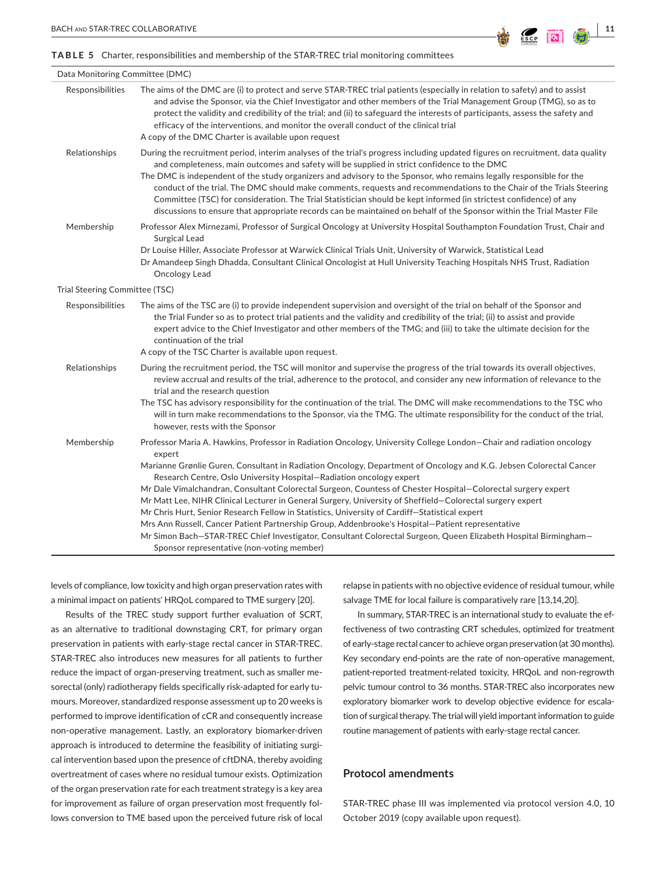#### **TABLE 5** Charter, responsibilities and membership of the STAR-TREC trial monitoring committees

| Data Monitoring Committee (DMC) |                                                                                                                                                                                                                                                                                                                                                                                                                                                                                                                                                                                                                                                                                                                                                                                                                                                                                                                               |
|---------------------------------|-------------------------------------------------------------------------------------------------------------------------------------------------------------------------------------------------------------------------------------------------------------------------------------------------------------------------------------------------------------------------------------------------------------------------------------------------------------------------------------------------------------------------------------------------------------------------------------------------------------------------------------------------------------------------------------------------------------------------------------------------------------------------------------------------------------------------------------------------------------------------------------------------------------------------------|
| Responsibilities                | The aims of the DMC are (i) to protect and serve STAR-TREC trial patients (especially in relation to safety) and to assist<br>and advise the Sponsor, via the Chief Investigator and other members of the Trial Management Group (TMG), so as to<br>protect the validity and credibility of the trial; and (ii) to safeguard the interests of participants, assess the safety and<br>efficacy of the interventions, and monitor the overall conduct of the clinical trial<br>A copy of the DMC Charter is available upon request                                                                                                                                                                                                                                                                                                                                                                                              |
| Relationships                   | During the recruitment period, interim analyses of the trial's progress including updated figures on recruitment, data quality<br>and completeness, main outcomes and safety will be supplied in strict confidence to the DMC<br>The DMC is independent of the study organizers and advisory to the Sponsor, who remains legally responsible for the<br>conduct of the trial. The DMC should make comments, requests and recommendations to the Chair of the Trials Steering<br>Committee (TSC) for consideration. The Trial Statistician should be kept informed (in strictest confidence) of any<br>discussions to ensure that appropriate records can be maintained on behalf of the Sponsor within the Trial Master File                                                                                                                                                                                                  |
| Membership                      | Professor Alex Mirnezami, Professor of Surgical Oncology at University Hospital Southampton Foundation Trust, Chair and<br>Surgical Lead<br>Dr Louise Hiller, Associate Professor at Warwick Clinical Trials Unit, University of Warwick, Statistical Lead<br>Dr Amandeep Singh Dhadda, Consultant Clinical Oncologist at Hull University Teaching Hospitals NHS Trust, Radiation<br>Oncology Lead                                                                                                                                                                                                                                                                                                                                                                                                                                                                                                                            |
| Trial Steering Committee (TSC)  |                                                                                                                                                                                                                                                                                                                                                                                                                                                                                                                                                                                                                                                                                                                                                                                                                                                                                                                               |
| Responsibilities                | The aims of the TSC are (i) to provide independent supervision and oversight of the trial on behalf of the Sponsor and<br>the Trial Funder so as to protect trial patients and the validity and credibility of the trial; (ii) to assist and provide<br>expert advice to the Chief Investigator and other members of the TMG; and (iii) to take the ultimate decision for the<br>continuation of the trial                                                                                                                                                                                                                                                                                                                                                                                                                                                                                                                    |
| Relationships                   | A copy of the TSC Charter is available upon request.<br>During the recruitment period, the TSC will monitor and supervise the progress of the trial towards its overall objectives,<br>review accrual and results of the trial, adherence to the protocol, and consider any new information of relevance to the<br>trial and the research question<br>The TSC has advisory responsibility for the continuation of the trial. The DMC will make recommendations to the TSC who<br>will in turn make recommendations to the Sponsor, via the TMG. The ultimate responsibility for the conduct of the trial,<br>however, rests with the Sponsor                                                                                                                                                                                                                                                                                  |
| Membership                      | Professor Maria A. Hawkins, Professor in Radiation Oncology, University College London–Chair and radiation oncology<br>expert<br>Marianne Grønlie Guren, Consultant in Radiation Oncology, Department of Oncology and K.G. Jebsen Colorectal Cancer<br>Research Centre, Oslo University Hospital–Radiation oncology expert<br>Mr Dale Vimalchandran, Consultant Colorectal Surgeon, Countess of Chester Hospital–Colorectal surgery expert<br>Mr Matt Lee, NIHR Clinical Lecturer in General Surgery, University of Sheffield–Colorectal surgery expert<br>Mr Chris Hurt, Senior Research Fellow in Statistics, University of Cardiff-Statistical expert<br>Mrs Ann Russell, Cancer Patient Partnership Group, Addenbrooke's Hospital-Patient representative<br>Mr Simon Bach–STAR-TREC Chief Investigator, Consultant Colorectal Surgeon, Queen Elizabeth Hospital Birmingham–<br>Sponsor representative (non-voting member) |

levels of compliance, low toxicity and high organ preservation rates with a minimal impact on patients' HRQoL compared to TME surgery [20].

Results of the TREC study support further evaluation of SCRT, as an alternative to traditional downstaging CRT, for primary organ preservation in patients with early-stage rectal cancer in STAR-TREC. STAR-TREC also introduces new measures for all patients to further reduce the impact of organ-preserving treatment, such as smaller mesorectal (only) radiotherapy fields specifically risk-adapted for early tumours. Moreover, standardized response assessment up to 20 weeks is performed to improve identification of cCR and consequently increase non-operative management. Lastly, an exploratory biomarker-driven approach is introduced to determine the feasibility of initiating surgical intervention based upon the presence of cftDNA, thereby avoiding overtreatment of cases where no residual tumour exists. Optimization of the organ preservation rate for each treatment strategy is a key area for improvement as failure of organ preservation most frequently follows conversion to TME based upon the perceived future risk of local

relapse in patients with no objective evidence of residual tumour, while salvage TME for local failure is comparatively rare [13,14,20].

In summary, STAR-TREC is an international study to evaluate the effectiveness of two contrasting CRT schedules, optimized for treatment of early-stage rectal cancer to achieve organ preservation (at 30 months). Key secondary end-points are the rate of non-operative management, patient-reported treatment-related toxicity, HRQoL and non-regrowth pelvic tumour control to 36 months. STAR-TREC also incorporates new exploratory biomarker work to develop objective evidence for escalation of surgical therapy. The trial will yield important information to guide routine management of patients with early-stage rectal cancer.

# **Protocol amendments**

STAR-TREC phase III was implemented via protocol version 4.0, 10 October 2019 (copy available upon request).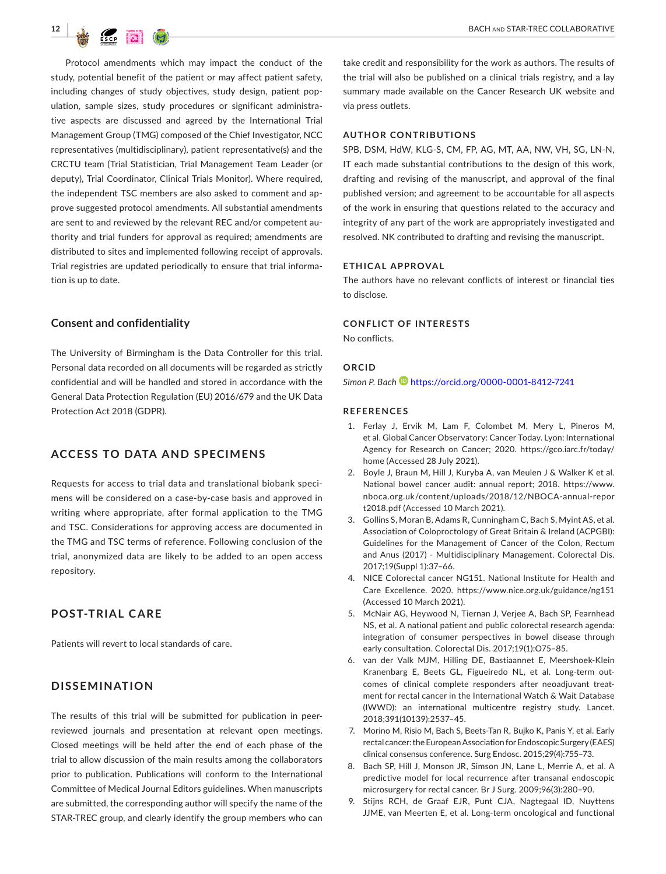

Protocol amendments which may impact the conduct of the study, potential benefit of the patient or may affect patient safety, including changes of study objectives, study design, patient population, sample sizes, study procedures or significant administrative aspects are discussed and agreed by the International Trial Management Group (TMG) composed of the Chief Investigator, NCC representatives (multidisciplinary), patient representative(s) and the CRCTU team (Trial Statistician, Trial Management Team Leader (or deputy), Trial Coordinator, Clinical Trials Monitor). Where required, the independent TSC members are also asked to comment and approve suggested protocol amendments. All substantial amendments are sent to and reviewed by the relevant REC and/or competent authority and trial funders for approval as required; amendments are distributed to sites and implemented following receipt of approvals. Trial registries are updated periodically to ensure that trial information is up to date.

#### **Consent and confidentiality**

The University of Birmingham is the Data Controller for this trial. Personal data recorded on all documents will be regarded as strictly confidential and will be handled and stored in accordance with the General Data Protection Regulation (EU) 2016/679 and the UK Data Protection Act 2018 (GDPR).

# **ACCESS TO DATA AND SPECIMENS**

Requests for access to trial data and translational biobank specimens will be considered on a case-by-case basis and approved in writing where appropriate, after formal application to the TMG and TSC. Considerations for approving access are documented in the TMG and TSC terms of reference. Following conclusion of the trial, anonymized data are likely to be added to an open access repository.

# **POST-TRIAL CARE**

Patients will revert to local standards of care.

#### **DISSEMINATION**

The results of this trial will be submitted for publication in peerreviewed journals and presentation at relevant open meetings. Closed meetings will be held after the end of each phase of the trial to allow discussion of the main results among the collaborators prior to publication. Publications will conform to the International Committee of Medical Journal Editors guidelines. When manuscripts are submitted, the corresponding author will specify the name of the STAR-TREC group, and clearly identify the group members who can

take credit and responsibility for the work as authors. The results of the trial will also be published on a clinical trials registry, and a lay summary made available on the Cancer Research UK website and via press outlets.

#### **AUTHOR CONTRIBUTIONS**

SPB, DSM, HdW, KLG-S, CM, FP, AG, MT, AA, NW, VH, SG, LN-N, IT each made substantial contributions to the design of this work, drafting and revising of the manuscript, and approval of the final published version; and agreement to be accountable for all aspects of the work in ensuring that questions related to the accuracy and integrity of any part of the work are appropriately investigated and resolved. NK contributed to drafting and revising the manuscript.

# **ETHICAL APPROVAL**

The authors have no relevant conflicts of interest or financial ties to disclose.

#### **CONFLICT OF INTERESTS**

No conflicts.

#### **ORCID**

*Simon P. Bach* <https://orcid.org/0000-0001-8412-7241>

#### **REFERENCES**

- 1. Ferlay J, Ervik M, Lam F, Colombet M, Mery L, Pineros M, et al. Global Cancer Observatory: Cancer Today. Lyon: International Agency for Research on Cancer; 2020. [https://gco.iarc.fr/today/](https://gco.iarc.fr/today/home) [home](https://gco.iarc.fr/today/home) (Accessed 28 July 2021).
- 2. Boyle J, Braun M, Hill J, Kuryba A, van Meulen J & Walker K et al. National bowel cancer audit: annual report; 2018. [https://www.](https://www.nboca.org.uk/content/uploads/2018/12/NBOCA-annual-report2018.pdf) [nboca.org.uk/content/uploads/2018/12/NBOCA-annual-repor](https://www.nboca.org.uk/content/uploads/2018/12/NBOCA-annual-report2018.pdf) [t2018.pdf](https://www.nboca.org.uk/content/uploads/2018/12/NBOCA-annual-report2018.pdf) (Accessed 10 March 2021).
- 3. Gollins S, Moran B, Adams R, Cunningham C, Bach S, Myint AS, et al. Association of Coloproctology of Great Britain & Ireland (ACPGBI): Guidelines for the Management of Cancer of the Colon, Rectum and Anus (2017) - Multidisciplinary Management. Colorectal Dis. 2017;19(Suppl 1):37–66.
- 4. NICE Colorectal cancer NG151. National Institute for Health and Care Excellence. 2020. <https://www.nice.org.uk/guidance/ng151> (Accessed 10 March 2021).
- 5. McNair AG, Heywood N, Tiernan J, Verjee A, Bach SP, Fearnhead NS, et al. A national patient and public colorectal research agenda: integration of consumer perspectives in bowel disease through early consultation. Colorectal Dis. 2017;19(1):O75–85.
- 6. van der Valk MJM, Hilling DE, Bastiaannet E, Meershoek-Klein Kranenbarg E, Beets GL, Figueiredo NL, et al. Long-term outcomes of clinical complete responders after neoadjuvant treatment for rectal cancer in the International Watch & Wait Database (IWWD): an international multicentre registry study. Lancet. 2018;391(10139):2537–45.
- 7. Morino M, Risio M, Bach S, Beets-Tan R, Bujko K, Panis Y, et al. Early rectal cancer: the European Association for Endoscopic Surgery (EAES) clinical consensus conference. Surg Endosc. 2015;29(4):755–73.
- 8. Bach SP, Hill J, Monson JR, Simson JN, Lane L, Merrie A, et al. A predictive model for local recurrence after transanal endoscopic microsurgery for rectal cancer. Br J Surg. 2009;96(3):280–90.
- 9. Stijns RCH, de Graaf EJR, Punt CJA, Nagtegaal ID, Nuyttens JJME, van Meerten E, et al. Long-term oncological and functional